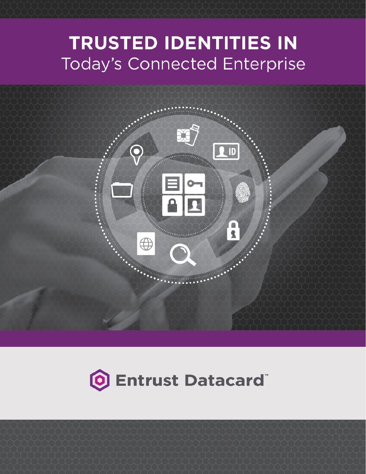# **TRUSTED IDENTITIES IN Today's Connected Enterprise**





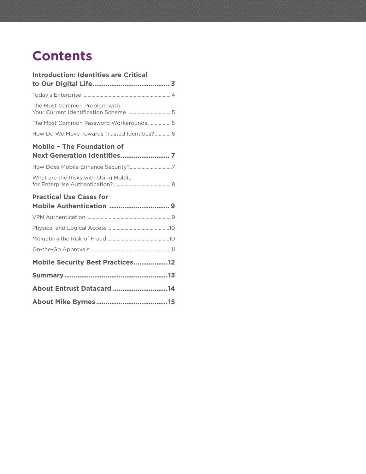## **Contents**

| <b>Introduction: Identities are Critical</b>                          |  |
|-----------------------------------------------------------------------|--|
|                                                                       |  |
|                                                                       |  |
| The Most Common Problem with<br>Your Current Identification Scheme  5 |  |
| The Most Common Password Workarounds  5                               |  |
| How Do We Move Towards Trusted Identities? 6                          |  |
| <b>Mobile - The Foundation of</b>                                     |  |
| How Does Mobile Enhance Security?7                                    |  |
| What are the Risks with Using Mobile                                  |  |
| <b>Practical Use Cases for</b>                                        |  |
|                                                                       |  |
|                                                                       |  |
|                                                                       |  |
|                                                                       |  |
|                                                                       |  |
| Mobile Security Best Practices 12                                     |  |
|                                                                       |  |
| <b>About Entrust Datacard 14</b>                                      |  |
|                                                                       |  |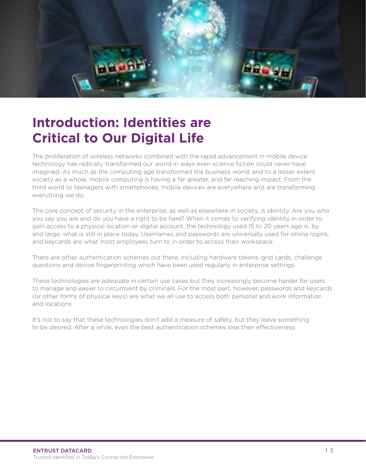<span id="page-2-0"></span>

The proliferation of wireless networks combined with the rapid advancement in mobile device technology has radically transformed our world in ways even science fiction could never have imagined. As much as the computing age transformed the business world, and to a lesser extent society as a whole, mobile computing is having a far greater, and far reaching impact. From the third world to teenagers with smartphones, mobile devices are everywhere and are transforming everything we do.

The core concept of security in the enterprise, as well as elsewhere in society, is identity. Are you who you say you are and do you have a right to be here? When it comes to verifying identity in order to gain access to a physical location or digital account, the technology used 15 to 20 years ago is, by and large, what is still in place today. Usernames and passwords are universally used for online logins, and keycards are what most employees turn to in order to access their workspace.

There are other authentication schemes out there, including hardware tokens, grid cards, challenge questions and device fingerprinting which have been used regularly in enterprise settings.

These technologies are adequate in certain use cases but they increasingly become harder for users to manage and easier to circumvent by criminals. For the most part, however, passwords and keycards (or other forms of physical keys) are what we all use to access both personal and work information and locations.

It's not to say that these technologies don't add a measure of safety, but they leave something to be desired. After a while, even the best authentication schemes lose their effectiveness.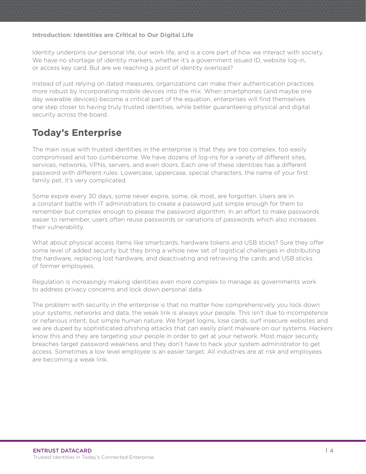<span id="page-3-0"></span>Identity underpins our personal life, our work life, and is a core part of how we interact with society. We have no shortage of identity markers, whether it's a government issued ID, website log-in, or access key card. But are we reaching a point of identity overload?

Instead of just relying on dated measures, organizations can make their authentication practices more robust by incorporating mobile devices into the mix. When smartphones (and maybe one day wearable devices) become a critical part of the equation, enterprises will find themselves one step closer to having truly trusted identities, while better guaranteeing physical and digital security across the board.

### **Today's Enterprise**

The main issue with trusted identities in the enterprise is that they are too complex, too easily compromised and too cumbersome. We have dozens of log-ins for a variety of different sites, services, networks, VPNs, servers, and even doors. Each one of these identities has a different password with different rules. Lowercase, uppercase, special characters, the name of your first family pet, it's very complicated.

Some expire every 30 days, some never expire, some, ok most, are forgotten. Users are in a constant battle with IT administrators to create a password just simple enough for them to remember but complex enough to please the password algorithm. In an effort to make passwords easier to remember, users often reuse passwords or variations of passwords which also increases their vulnerability.

What about physical access items like smartcards, hardware tokens and USB sticks? Sure they offer some level of added security but they bring a whole new set of logistical challenges in distributing the hardware, replacing lost hardware, and deactivating and retrieving the cards and USB sticks of former employees.

Regulation is increasingly making identities even more complex to manage as governments work to address privacy concerns and lock down personal data.

The problem with security in the enterprise is that no matter how comprehensively you lock down your systems, networks and data, the weak link is always your people. This isn't due to incompetence or nefarious intent, but simple human nature. We forget logins, lose cards, surf insecure websites and we are duped by sophisticated phishing attacks that can easily plant malware on our systems. Hackers know this and they are targeting your people in order to get at your network. Most major security breaches target password weakness and they don't have to hack your system administrator to get access. Sometimes a low level employee is an easier target. All industries are at risk and employees are becoming a weak link.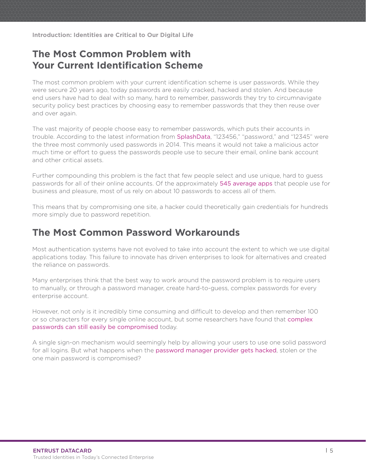### <span id="page-4-0"></span>**The Most Common Problem with Your Current Identification Scheme**

The most common problem with your current identification scheme is user passwords. While they were secure 20 years ago, today passwords are easily cracked, hacked and stolen. And because end users have had to deal with so many, hard to remember, passwords they try to circumnavigate security policy best practices by choosing easy to remember passwords that they then reuse over and over again.

The vast majority of people choose easy to remember passwords, which puts their accounts in trouble. According to the latest information from [SplashData](http://splashdata.com/press/worst-passwords-of-2014.htm), "123456," "password," and "12345" were the three most commonly used passwords in 2014. This means it would not take a malicious actor much time or effort to guess the passwords people use to secure their email, online bank account and other critical assets.

Further compounding this problem is the fact that few people select and use unique, hard to guess passwords for all of their online accounts. Of the approximately [545 average apps](http://nextshark.com/why-your-passwords-suck-and-youll-probably-get-hacked-someday/) that people use for business and pleasure, most of us rely on about 10 passwords to access all of them.

This means that by compromising one site, a hacker could theoretically gain credentials for hundreds more simply due to password repetition.

### **The Most Common Password Workarounds**

Most authentication systems have not evolved to take into account the extent to which we use digital applications today. This failure to innovate has driven enterprises to look for alternatives and created the reliance on passwords.

Many enterprises think that the best way to work around the password problem is to require users to manually, or through a password manager, create hard-to-guess, complex passwords for every enterprise account.

However, not only is it incredibly time consuming and difficult to develop and then remember 100 or so characters for every single online account, but some researchers have found that [complex](http://www.wired.com/2014/08/passwords_microsoft/)  [passwords can still easily be compromised](http://www.wired.com/2014/08/passwords_microsoft/) today.

A single sign-on mechanism would seemingly help by allowing your users to use one solid password for all logins. But what happens when the [password manager provider gets hacked](http://siliconangle.com/blog/2014/07/14/password-managers-hacked-researchers-find-critical-vulnerabilities/), stolen or the one main password is compromised?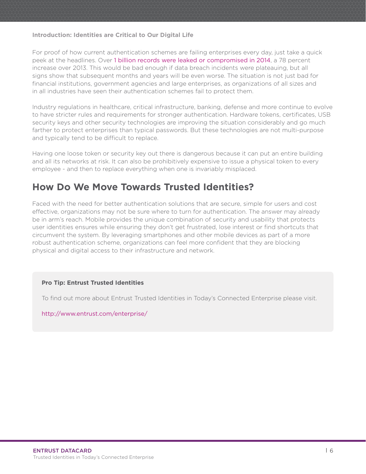<span id="page-5-0"></span>For proof of how current authentication schemes are failing enterprises every day, just take a quick peek at the headlines. Over [1 billion records were leaked or compromised in 2014](http://www.cnbc.com/2015/02/12/year-of-the-hack-a-billion-records-compromised-in-2014.html), a 78 percent increase over 2013. This would be bad enough if data breach incidents were plateauing, but all signs show that subsequent months and years will be even worse. The situation is not just bad for financial institutions, government agencies and large enterprises, as organizations of all sizes and in all industries have seen their authentication schemes fail to protect them.

Industry regulations in healthcare, critical infrastructure, banking, defense and more continue to evolve to have stricter rules and requirements for stronger authentication. Hardware tokens, certificates, USB security keys and other security technologies are improving the situation considerably and go much farther to protect enterprises than typical passwords. But these technologies are not multi-purpose and typically tend to be difficult to replace.

Having one loose token or security key out there is dangerous because it can put an entire building and all its networks at risk. It can also be prohibitively expensive to issue a physical token to every employee - and then to replace everything when one is invariably misplaced.

### **How Do We Move Towards Trusted Identities?**

Faced with the need for better authentication solutions that are secure, simple for users and cost effective, organizations may not be sure where to turn for authentication. The answer may already be in arm's reach. Mobile provides the unique combination of security and usability that protects user identities ensures while ensuring they don't get frustrated, lose interest or find shortcuts that circumvent the system. By leveraging smartphones and other mobile devices as part of a more robust authentication scheme, organizations can feel more confident that they are blocking physical and digital access to their infrastructure and network.

#### **Pro Tip: Entrust Trusted Identities**

To find out more about Entrust Trusted Identities in Today's Connected Enterprise please visit.

<http://www.entrust.com/enterprise/>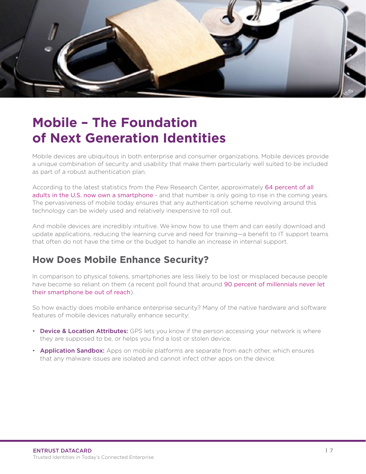<span id="page-6-0"></span>

# **Mobile – The Foundation of Next Generation Identities**

Mobile devices are ubiquitous in both enterprise and consumer organizations. Mobile devices provide a unique combination of security and usability that make them particularly well suited to be included as part of a robust authentication plan.

According to the latest statistics from the Pew Research Center, approximately [64 percent of all](http://www.pewinternet.org/2015/04/01/us-smartphone-use-in-2015/)  [adults in the U.S. now own a smartphone](http://www.pewinternet.org/2015/04/01/us-smartphone-use-in-2015/) - and that number is only going to rise in the coming years. The pervasiveness of mobile today ensures that any authentication scheme revolving around this technology can be widely used and relatively inexpensive to roll out.

And mobile devices are incredibly intuitive. We know how to use them and can easily download and update applications, reducing the learning curve and need for training—a benefit to IT support teams that often do not have the time or the budget to handle an increase in internal support.

## **How Does Mobile Enhance Security?**

In comparison to physical tokens, smartphones are less likely to be lost or misplaced because people have become so reliant on them (a recent poll found that around 90 percent of millennials never let [their smartphone be out of reach](http://www.usatoday.com/story/money/personalfinance/2014/09/27/millennials-love-smartphones-mobile-study/16192777/)).

So how exactly does mobile enhance enterprise security? Many of the native hardware and software features of mobile devices naturally enhance security:

- Device & Location Attributes: GPS lets you know if the person accessing your network is where they are supposed to be, or helps you find a lost or stolen device.
- **Application Sandbox:** Apps on mobile platforms are separate from each other, which ensures that any malware issues are isolated and cannot infect other apps on the device.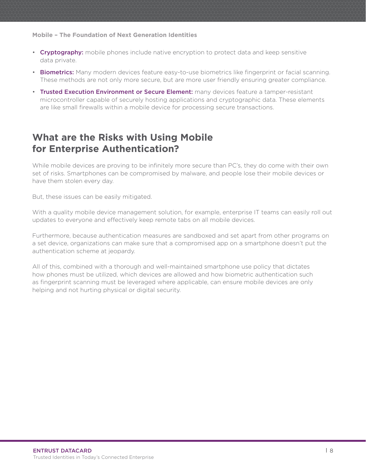<span id="page-7-0"></span>**Mobile – The Foundation of Next Generation Identities**

- Cryptography: mobile phones include native encryption to protect data and keep sensitive data private.
- Biometrics: Many modern devices feature easy-to-use biometrics like fingerprint or facial scanning. These methods are not only more secure, but are more user friendly ensuring greater compliance.
- Trusted Execution Environment or Secure Element: many devices feature a tamper-resistant microcontroller capable of securely hosting applications and cryptographic data. These elements are like small firewalls within a mobile device for processing secure transactions.

## **What are the Risks with Using Mobile for Enterprise Authentication?**

While mobile devices are proving to be infinitely more secure than PC's, they do come with their own set of risks. Smartphones can be compromised by malware, and people lose their mobile devices or have them stolen every day.

But, these issues can be easily mitigated.

With a quality mobile device management solution, for example, enterprise IT teams can easily roll out updates to everyone and effectively keep remote tabs on all mobile devices.

Furthermore, because authentication measures are sandboxed and set apart from other programs on a set device, organizations can make sure that a compromised app on a smartphone doesn't put the authentication scheme at jeopardy.

All of this, combined with a thorough and well-maintained smartphone use policy that dictates how phones must be utilized, which devices are allowed and how biometric authentication such as fingerprint scanning must be leveraged where applicable, can ensure mobile devices are only helping and not hurting physical or digital security.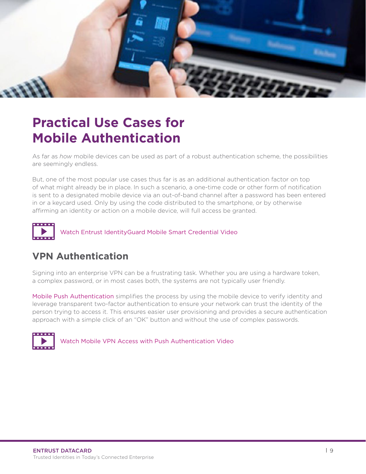<span id="page-8-0"></span>

# **Practical Use Cases for Mobile Authentication**

As far as *how* mobile devices can be used as part of a robust authentication scheme, the possibilities are seemingly endless.

But, one of the most popular use cases thus far is as an additional authentication factor on top of what might already be in place. In such a scenario, a one-time code or other form of notification is sent to a designated mobile device via an out-of-band channel after a password has been entered in or a keycard used. Only by using the code distributed to the smartphone, or by otherwise affirming an identity or action on a mobile device, will full access be granted.



[Watch Entrust IdentityGuard Mobile Smart Credential Video](http://www.demosondemand.com/html5/?sessID=5109&promotion_id=0&startTime=0&reseller_id=443&eo=104116116112058047047119119119046100101109111115111110100101109097110100046099111109047105116047118101110100111114115047101110116114117115116046097115112124124087101100032077097121032048054032050048049053032049052058050055058053050032071077084045048052048048032040069097115116101114110032068097121108105103104116032084105109101041)

## **VPN Authentication**

Signing into an enterprise VPN can be a frustrating task. Whether you are using a hardware token, a complex password, or in most cases both, the systems are not typically user friendly.

[Mobile Push Authentication](https://www.entrust.com/wp-content/uploads/2015/07/6256-EntrustWP-5Reasons-DataCard_WEB2.pdf) simplifies the process by using the mobile device to verify identity and leverage transparent two-factor authentication to ensure your network can trust the identity of the person trying to access it. This ensures easier user provisioning and provides a secure authentication approach with a simple click of an "OK" button and without the use of complex passwords.



[Watch Mobile VPN Access with Push Authentication Video](https://entrust.wistia.com/medias/ijo48imcg8)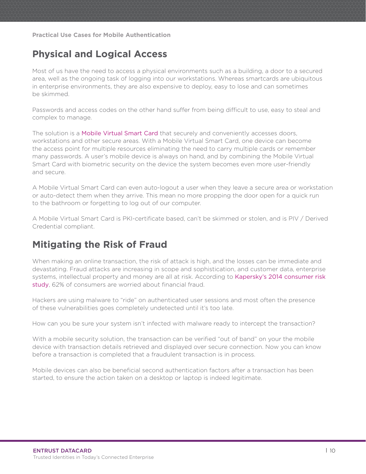<span id="page-9-0"></span>**Practical Use Cases for Mobile Authentication**

## **Physical and Logical Access**

Most of us have the need to access a physical environments such as a building, a door to a secured area, well as the ongoing task of logging into our workstations. Whereas smartcards are ubiquitous in enterprise environments, they are also expensive to deploy, easy to lose and can sometimes be skimmed.

Passwords and access codes on the other hand suffer from being difficult to use, easy to steal and complex to manage.

The solution is a [Mobile Virtual Smart Card](https://www.entrust.com/resource/identityguard-mobile-smart-credentials/) that securely and conveniently accesses doors, workstations and other secure areas. With a Mobile Virtual Smart Card, one device can become the access point for multiple resources eliminating the need to carry multiple cards or remember many passwords. A user's mobile device is always on hand, and by combining the Mobile Virtual Smart Card with biometric security on the device the system becomes even more user-friendly and secure.

A Mobile Virtual Smart Card can even auto-logout a user when they leave a secure area or workstation or auto-detect them when they arrive. This mean no more propping the door open for a quick run to the bathroom or forgetting to log out of our computer.

A Mobile Virtual Smart Card is PKI-certificate based, can't be skimmed or stolen, and is PIV / Derived Credential compliant.

## **Mitigating the Risk of Fraud**

When making an online transaction, the risk of attack is high, and the losses can be immediate and devastating. Fraud attacks are increasing in scope and sophistication, and customer data, enterprise systems, intellectual property and money are all at risk. According to Kapersky's 2014 consumer risk [study](http://media.kaspersky.com/en/Kaspersky_Lab_Consumer_Security_Risks_Survey_2014_ENG.pdf), 62% of consumers are worried about financial fraud.

Hackers are using malware to "ride" on authenticated user sessions and most often the presence of these vulnerabilities goes completely undetected until it's too late.

How can you be sure your system isn't infected with malware ready to intercept the transaction?

With a mobile security solution, the transaction can be verified "out of band" on your the mobile device with transaction details retrieved and displayed over secure connection. Now you can know before a transaction is completed that a fraudulent transaction is in process.

Mobile devices can also be beneficial second authentication factors after a transaction has been started, to ensure the action taken on a desktop or laptop is indeed legitimate.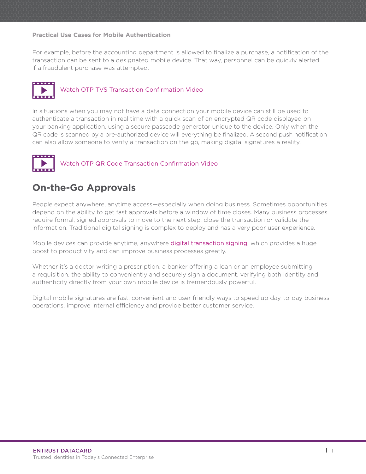#### <span id="page-10-0"></span>**Practical Use Cases for Mobile Authentication**

For example, before the accounting department is allowed to finalize a purchase, a notification of the transaction can be sent to a designated mobile device. That way, personnel can be quickly alerted if a fraudulent purchase was attempted.



#### [Watch OTP TVS Transaction Confirmation Video](https://entrust.wistia.com/medias/faph6lfg57)

In situations when you may not have a data connection your mobile device can still be used to authenticate a transaction in real time with a quick scan of an encrypted QR code displayed on your banking application, using a secure passcode generator unique to the device. Only when the QR code is scanned by a pre-authorized device will everything be finalized. A second push notification can also allow someone to verify a transaction on the go, making digital signatures a reality.



### **On-the-Go Approvals**

People expect anywhere, anytime access—especially when doing business. Sometimes opportunities depend on the ability to get fast approvals before a window of time closes. Many business processes require formal, signed approvals to move to the next step, close the transaction or validate the information. Traditional digital signing is complex to deploy and has a very poor user experience.

Mobile devices can provide anytime, anywhere [digital transaction signing](https://www.entrust.com/solutions/mobile/), which provides a huge boost to productivity and can improve business processes greatly.

Whether it's a doctor writing a prescription, a banker offering a loan or an employee submitting a requisition, the ability to conveniently and securely sign a document, verifying both identity and authenticity directly from your own mobile device is tremendously powerful.

Digital mobile signatures are fast, convenient and user friendly ways to speed up day-to-day business operations, improve internal efficiency and provide better customer service.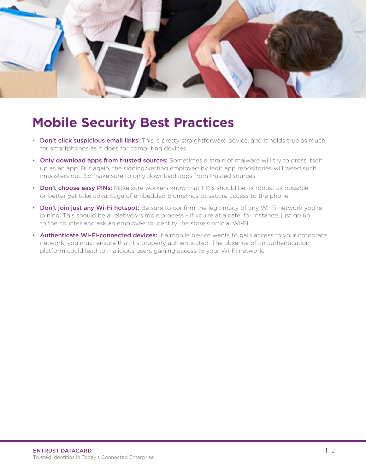<span id="page-11-0"></span>

## **Mobile Security Best Practices**

- Don't click suspicious email links: This is pretty straightforward advice, and it holds true as much for smartphones as it does for computing devices
- Only download apps from trusted sources: Sometimes a strain of malware will try to dress itself up as an app. But again, the signing/vetting employed by legit app repositories will weed such imposters out. So make sure to only download apps from trusted sources.
- Don't choose easy PINs: Make sure workers know that PINs should be as robust as possible or better yet take advantage of embedded biometrics to secure access to the phone.
- Don't join just any Wi-Fi hotspot: Be sure to confirm the legitimacy of any Wi-Fi network you're joining. This should be a relatively simple process - if you're at a cafe, for instance, just go up to the counter and ask an employee to identify the store's official Wi-Fi.
- Authenticate Wi-Fi-connected devices: If a mobile device wants to gain access to your corporate network, you must ensure that it's properly authenticated. The absence of an authentication platform could lead to malicious users gaining access to your Wi-Fi network.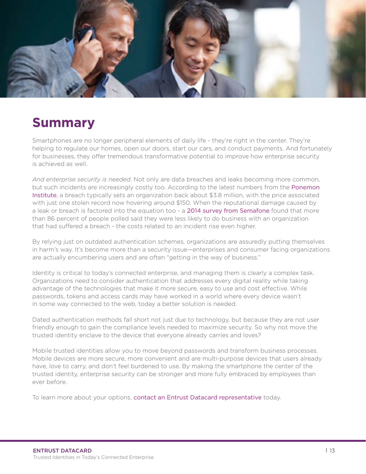<span id="page-12-0"></span>

## **Summary**

Smartphones are no longer peripheral elements of daily life - they're right in the center. They're helping to regulate our homes, open our doors, start our cars, and conduct payments. And fortunately for businesses, they offer tremendous transformative potential to improve how enterprise security is achieved as well.

*And enterprise security is needed*. Not only are data breaches and leaks becoming more common, but such incidents are increasingly costly too. According to the latest numbers from the [Ponemon](http://www.prnewswire.com/news-releases/ponemon-institutes-2015-global-cost-of-data-breach-study-reveals-average-cost-of-data-breach-reaches-record-levels-300089057.html)  [Institute](http://www.prnewswire.com/news-releases/ponemon-institutes-2015-global-cost-of-data-breach-study-reveals-average-cost-of-data-breach-reaches-record-levels-300089057.html), a breach typically sets an organization back about \$3.8 million, with the price associated with just one stolen record now hovering around \$150. When the reputational damage caused by a leak or breach is factored into the equation too - a [2014 survey from Semafone](https://www.semafone.com/86-customers-shun-brands-following-data-breach/) found that more than 86 percent of people polled said they were less likely to do business with an organization that had suffered a breach - the costs related to an incident rise even higher.

By relying just on outdated authentication schemes, organizations are assuredly putting themselves in harm's way. It's become more than a security issue—enterprises and consumer facing organizations are actually encumbering users and are often "getting in the way of business."

Identity is critical to today's connected enterprise, and managing them is clearly a complex task. Organizations need to consider authentication that addresses every digital reality while taking advantage of the technologies that make it more secure, easy to use and cost effective. While passwords, tokens and access cards may have worked in a world where every device wasn't in some way connected to the web, today a better solution is needed.

Dated authentication methods fall short not just due to technology, but because they are not user friendly enough to gain the compliance levels needed to maximize security. So why not move the trusted identity enclave to the device that everyone already carries and loves?

Mobile trusted identities allow you to move beyond passwords and transform business processes. Mobile devices are more secure, more convenient and are multi-purpose devices that users already have, love to carry, and don't feel burdened to use. By making the smartphone the center of the trusted identity, enterprise security can be stronger and more fully embraced by employees than ever before.

To learn more about your options, [contact an Entrust Datacard representative](http://www.entrustdatacard.com/entrust_datacard/request_information.jsp) today.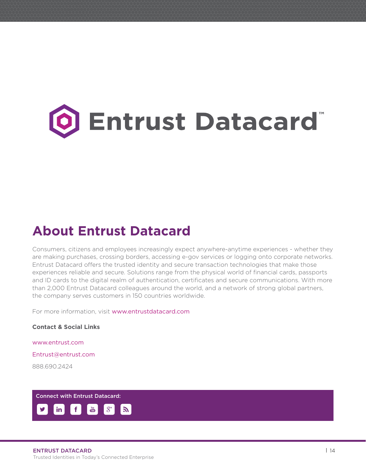# <span id="page-13-0"></span>**Entrust Datacard**

## **About Entrust Datacard**

Consumers, citizens and employees increasingly expect anywhere-anytime experiences - whether they are making purchases, crossing borders, accessing e-gov services or logging onto corporate networks. Entrust Datacard offers the trusted identity and secure transaction technologies that make those experiences reliable and secure. Solutions range from the physical world of financial cards, passports and ID cards to the digital realm of authentication, certificates and secure communications. With more than 2,000 Entrust Datacard colleagues around the world, and a network of strong global partners, the company serves customers in 150 countries worldwide.

For more information, visit [www.entrustdatacard.com](http://www.entrustdatacard.com/)

**Contact & Social Links**

www.entrust.com Entrust@entrust.com

888.690.2424

Connect with Entrust Datacard: